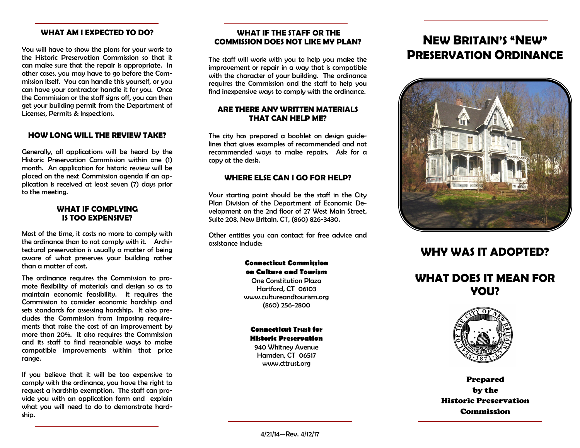### **WHAT AM I EXPECTED TO DO?**

You will have to show the plans for your work to the Historic Preservation Commission so that it can make sure that the repair is appropriate. In other cases, you may have to go before the Commission itself. You can handle this yourself, or you can have your contractor handle it for you. Once the Commission or the staff signs off, you can then get your building permit from the Department of Licenses, Permits & Inspections.

### **HOW LONG WILL THE REVIEW TAKE?**

Generally, all applications will be heard by the Historic Preservation Commission within one (1) month. An application for historic review will be placed on the next Commission agenda if an application is received at least seven (7) days prior to the meeting.

## **WHAT IF COMPLYING IS TOO EXPENSIVE?**

Most of the time, it costs no more to comply with the ordinance than to not comply with it. Architectural preservation is usually a matter of being aware of what preserves your building rather than a matter of cost.

The ordinance requires the Commission to promote flexibility of materials and design so as to maintain economic feasibility. It requires the Commission to consider economic hardship and sets standards for assessing hardship. It also precludes the Commission from imposing requirements that raise the cost of an improvement by more than 20%. It also requires the Commission and its staff to find reasonable ways to make compatible improvements within that price range.

If you believe that it will be too expensive to comply with the ordinance, you have the right to request a hardship exemption. The staff can provide you with an application form and explain what you will need to do to demonstrate hardship.

# **WHAT IF THE STAFF OR THE COMMISSION DOES NOT LIKE MY PLAN?**

The staff will work with you to help you make the improvement or repair in a way that is compatible with the character of your building. The ordinance requires the Commission and the staff to help you find inexpensive ways to comply with the ordinance.

# **ARE THERE ANY WRITTEN MATERIALS THAT CAN HELP ME?**

The city has prepared a booklet on design guidelines that gives examples of recommended and not recommended ways to make repairs. Ask for a copy at the desk.

## **WHERE ELSE CAN I GO FOR HELP?**

Your starting point should be the staff in the City Plan Division of the Department of Economic Development on the 2nd floor of 27 West Main Street, Suite 208, New Britain, CT, (860) 826-3430.

Other entities you can contact for free advice and assistance include:

## **Connecticut Commission on Culture and Tourism**

One Constitution Plaza Hartford, CT 06103 www.cultureandtourism.org (860) 256-2800

### **Connecticut Trust for Historic Preservation**

940 Whitney Avenue Hamden, CT 06517 www.cttrust.org

# **NEW BRITAIN'S "NEW" PRESERVATION ORDINANCE**



# **WHY WAS IT ADOPTED?**

# **WHAT DOES IT MEAN FOR YOU?**



Prepared by the Historic Preservation Commission